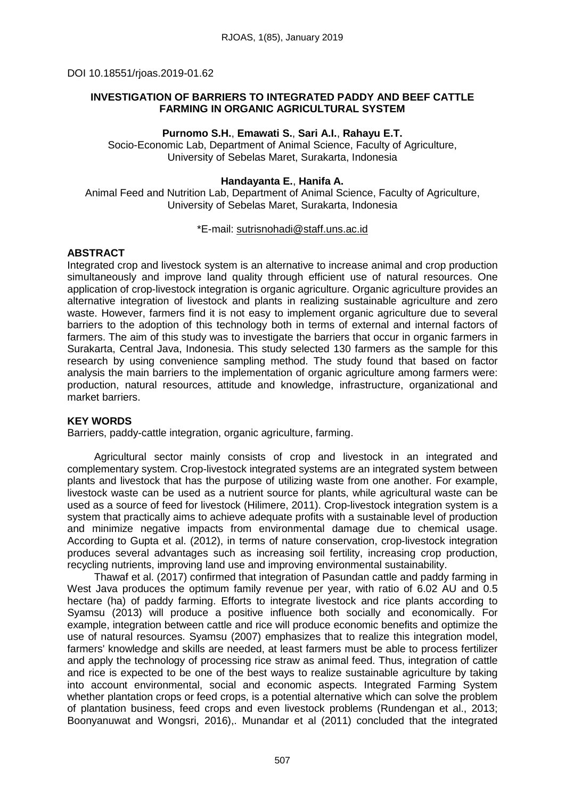# **INVESTIGATION OF BARRIERS TO INTEGRATED PADDY AND BEEF CATTLE FARMING IN ORGANIC AGRICULTURAL SYSTEM**

# **Purnomo S.H.**, **Emawati S.**, **Sari A.I.**, **Rahayu E.T.**

Socio-Economic Lab, Department of Animal Science, Faculty of Agriculture, University of Sebelas Maret, Surakarta, Indonesia

### **Handayanta E.**, **Hanifa A.**

Animal Feed and Nutrition Lab, Department of Animal Science, Faculty of Agriculture, University of Sebelas Maret, Surakarta, Indonesia

#### \*E-mail: [sutrisnohadi@staff.uns.ac.id](mailto:sutrisnohadi@staff.uns.ac.id)

### **ABSTRACT**

Integrated crop and livestock system is an alternative to increase animal and crop production simultaneously and improve land quality through efficient use of natural resources. One application of crop-livestock integration is organic agriculture. Organic agriculture provides an alternative integration of livestock and plants in realizing sustainable agriculture and zero waste. However, farmers find it is not easy to implement organic agriculture due to several barriers to the adoption of this technology both in terms of external and internal factors of farmers. The aim of this study was to investigate the barriers that occur in organic farmers in Surakarta, Central Java, Indonesia. This study selected 130 farmers as the sample for this research by using convenience sampling method. The study found that based on factor analysis the main barriers to the implementation of organic agriculture among farmers were: production, natural resources, attitude and knowledge, infrastructure, organizational and market barriers.

# **KEY WORDS**

Barriers, paddy-cattle integration, organic agriculture, farming.

Agricultural sector mainly consists of crop and livestock in an integrated and complementary system. Crop-livestock integrated systems are an integrated system between plants and livestock that has the purpose of utilizing waste from one another. For example, livestock waste can be used as a nutrient source for plants, while agricultural waste can be used as a source of feed for livestock (Hilimere, 2011). Crop-livestock integration system is a system that practically aims to achieve adequate profits with a sustainable level of production and minimize negative impacts from environmental damage due to chemical usage. According to Gupta et al. (2012), in terms of nature conservation, crop-livestock integration produces several advantages such as increasing soil fertility, increasing crop production, recycling nutrients, improving land use and improving environmental sustainability.

Thawaf et al. (2017) confirmed that integration of Pasundan cattle and paddy farming in West Java produces the optimum family revenue per year, with ratio of 6.02 AU and 0.5 hectare (ha) of paddy farming. Efforts to integrate livestock and rice plants according to Syamsu (2013) will produce a positive influence both socially and economically. For example, integration between cattle and rice will produce economic benefits and optimize the use of natural resources. Syamsu (2007) emphasizes that to realize this integration model, farmers' knowledge and skills are needed, at least farmers must be able to process fertilizer and apply the technology of processing rice straw as animal feed. Thus, integration of cattle and rice is expected to be one of the best ways to realize sustainable agriculture by taking into account environmental, social and economic aspects. Integrated Farming System whether plantation crops or feed crops, is a potential alternative which can solve the problem of plantation business, feed crops and even livestock problems (Rundengan et al., 2013; Boonyanuwat and Wongsri, 2016),. Munandar et al (2011) concluded that the integrated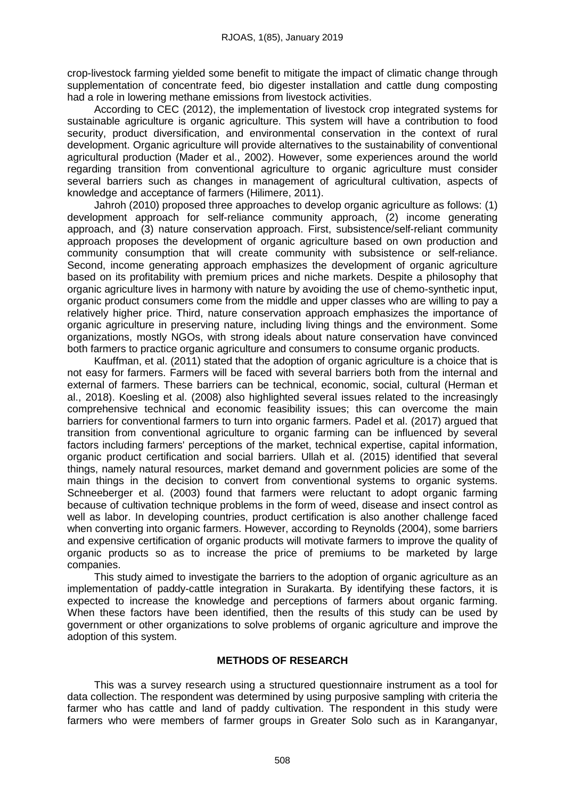crop-livestock farming yielded some benefit to mitigate the impact of climatic change through supplementation of concentrate feed, bio digester installation and cattle dung composting had a role in lowering methane emissions from livestock activities.

According to CEC (2012), the implementation of livestock crop integrated systems for sustainable agriculture is organic agriculture. This system will have a contribution to food security, product diversification, and environmental conservation in the context of rural development. Organic agriculture will provide alternatives to the sustainability of conventional agricultural production (Mader et al., 2002). However, some experiences around the world regarding transition from conventional agriculture to organic agriculture must consider several barriers such as changes in management of agricultural cultivation, aspects of knowledge and acceptance of farmers (Hilimere, 2011).

Jahroh (2010) proposed three approaches to develop organic agriculture as follows: (1) development approach for self-reliance community approach, (2) income generating approach, and (3) nature conservation approach. First, subsistence/self-reliant community approach proposes the development of organic agriculture based on own production and community consumption that will create community with subsistence or self-reliance. Second, income generating approach emphasizes the development of organic agriculture based on its profitability with premium prices and niche markets. Despite a philosophy that organic agriculture lives in harmony with nature by avoiding the use of chemo-synthetic input, organic product consumers come from the middle and upper classes who are willing to pay a relatively higher price. Third, nature conservation approach emphasizes the importance of organic agriculture in preserving nature, including living things and the environment. Some organizations, mostly NGOs, with strong ideals about nature conservation have convinced both farmers to practice organic agriculture and consumers to consume organic products.

Kauffman, et al. (2011) stated that the adoption of organic agriculture is a choice that is not easy for farmers. Farmers will be faced with several barriers both from the internal and external of farmers. These barriers can be technical, economic, social, cultural (Herman et al., 2018). Koesling et al. (2008) also highlighted several issues related to the increasingly comprehensive technical and economic feasibility issues; this can overcome the main barriers for conventional farmers to turn into organic farmers. Padel et al. (2017) argued that transition from conventional agriculture to organic farming can be influenced by several factors including farmers' perceptions of the market, technical expertise, capital information, organic product certification and social barriers. Ullah et al. (2015) identified that several things, namely natural resources, market demand and government policies are some of the main things in the decision to convert from conventional systems to organic systems. Schneeberger et al. (2003) found that farmers were reluctant to adopt organic farming because of cultivation technique problems in the form of weed, disease and insect control as well as labor. In developing countries, product certification is also another challenge faced when converting into organic farmers. However, according to Reynolds (2004), some barriers and expensive certification of organic products will motivate farmers to improve the quality of organic products so as to increase the price of premiums to be marketed by large companies.

This study aimed to investigate the barriers to the adoption of organic agriculture as an implementation of paddy-cattle integration in Surakarta. By identifying these factors, it is expected to increase the knowledge and perceptions of farmers about organic farming. When these factors have been identified, then the results of this study can be used by government or other organizations to solve problems of organic agriculture and improve the adoption of this system.

# **METHODS OF RESEARCH**

This was a survey research using a structured questionnaire instrument as a tool for data collection. The respondent was determined by using purposive sampling with criteria the farmer who has cattle and land of paddy cultivation. The respondent in this study were farmers who were members of farmer groups in Greater Solo such as in Karanganyar,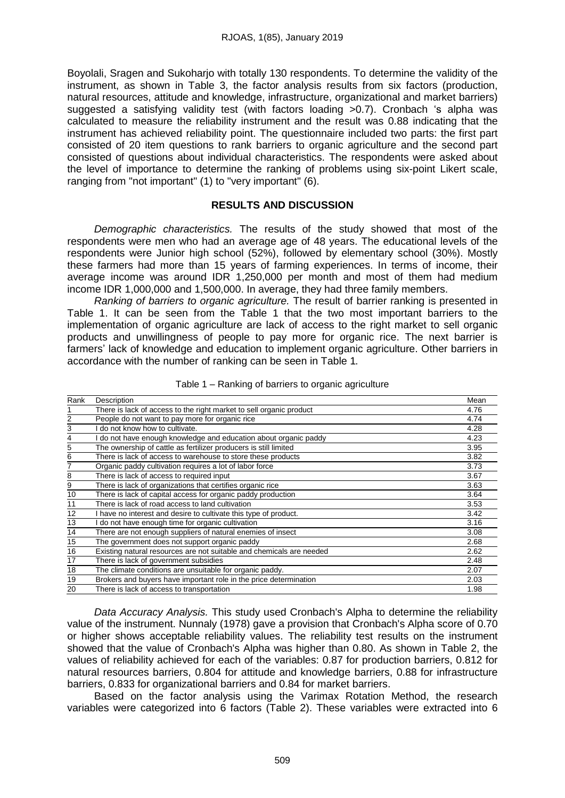Boyolali, Sragen and Sukoharjo with totally 130 respondents. To determine the validity of the instrument, as shown in Table 3, the factor analysis results from six factors (production, natural resources, attitude and knowledge, infrastructure, organizational and market barriers) suggested a satisfying validity test (with factors loading >0.7). Cronbach 's alpha was calculated to measure the reliability instrument and the result was 0.88 indicating that the instrument has achieved reliability point. The questionnaire included two parts: the first part consisted of 20 item questions to rank barriers to organic agriculture and the second part consisted of questions about individual characteristics. The respondents were asked about the level of importance to determine the ranking of problems using six-point Likert scale, ranging from "not important" (1) to "very important" (6).

# **RESULTS AND DISCUSSION**

*Demographic characteristics.* The results of the study showed that most of the respondents were men who had an average age of 48 years. The educational levels of the respondents were Junior high school (52%), followed by elementary school (30%). Mostly these farmers had more than 15 years of farming experiences. In terms of income, their average income was around IDR 1,250,000 per month and most of them had medium income IDR 1,000,000 and 1,500,000. In average, they had three family members.

*Ranking of barriers to organic agriculture.* The result of barrier ranking is presented in Table 1. It can be seen from the Table 1 that the two most important barriers to the implementation of organic agriculture are lack of access to the right market to sell organic products and unwillingness of people to pay more for organic rice. The next barrier is farmers' lack of knowledge and education to implement organic agriculture. Other barriers in accordance with the number of ranking can be seen in Table 1.

| Rank | Description                                                          | Mean |
|------|----------------------------------------------------------------------|------|
|      | There is lack of access to the right market to sell organic product  | 4.76 |
| 2    | People do not want to pay more for organic rice                      | 4.74 |
| 3    | do not know how to cultivate.                                        | 4.28 |
| 4    | do not have enough knowledge and education about organic paddy       | 4.23 |
| 5    | The ownership of cattle as fertilizer producers is still limited     | 3.95 |
| 6    | There is lack of access to warehouse to store these products         | 3.82 |
| 7    | Organic paddy cultivation requires a lot of labor force              | 3.73 |
| 8    | There is lack of access to required input                            | 3.67 |
| 9    | There is lack of organizations that certifies organic rice           | 3.63 |
| 10   | There is lack of capital access for organic paddy production         | 3.64 |
| 11   | There is lack of road access to land cultivation                     | 3.53 |
| 12   | I have no interest and desire to cultivate this type of product.     | 3.42 |
| 13   | do not have enough time for organic cultivation                      | 3.16 |
| 14   | There are not enough suppliers of natural enemies of insect          | 3.08 |
| 15   | The government does not support organic paddy                        | 2.68 |
| 16   | Existing natural resources are not suitable and chemicals are needed | 2.62 |
| 17   | There is lack of government subsidies                                | 2.48 |
| 18   | The climate conditions are unsuitable for organic paddy.             | 2.07 |
| 19   | Brokers and buyers have important role in the price determination    | 2.03 |
| 20   | There is lack of access to transportation                            | 1.98 |

Table 1 – Ranking of barriers to organic agriculture

*Data Accuracy Analysis.* This study used Cronbach's Alpha to determine the reliability value of the instrument. Nunnaly (1978) gave a provision that Cronbach's Alpha score of 0.70 or higher shows acceptable reliability values. The reliability test results on the instrument showed that the value of Cronbach's Alpha was higher than 0.80. As shown in Table 2, the values of reliability achieved for each of the variables: 0.87 for production barriers, 0.812 for natural resources barriers, 0.804 for attitude and knowledge barriers, 0.88 for infrastructure barriers, 0.833 for organizational barriers and 0.84 for market barriers.

Based on the factor analysis using the Varimax Rotation Method, the research variables were categorized into 6 factors (Table 2). These variables were extracted into 6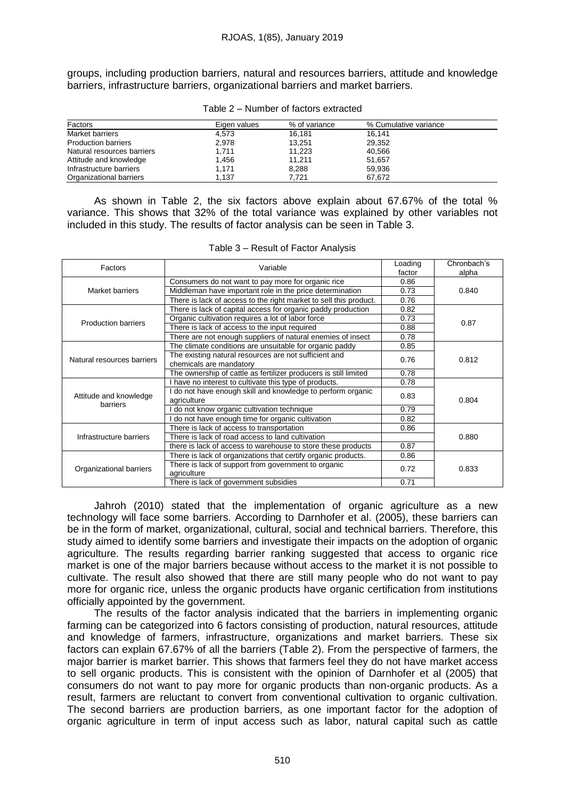groups, including production barriers, natural and resources barriers, attitude and knowledge barriers, infrastructure barriers, organizational barriers and market barriers.

| Factors                    | Eigen values | % of variance | % Cumulative variance |
|----------------------------|--------------|---------------|-----------------------|
| Market barriers            | 4,573        | 16.181        | 16.141                |
| <b>Production barriers</b> | 2,978        | 13.251        | 29,352                |
| Natural resources barriers | 1,711        | 11,223        | 40,566                |
| Attitude and knowledge     | 1,456        | 11.211        | 51.657                |
| Infrastructure barriers    | 1,171        | 8,288         | 59,936                |
| Organizational barriers    | 1.137        | 7.721         | 67.672                |

#### Table 2 – Number of factors extracted

As shown in Table 2, the six factors above explain about 67.67% of the total % variance. This shows that 32% of the total variance was explained by other variables not included in this study. The results of factor analysis can be seen in Table 3.

| Factors                    | Variable                                                          | Loading | Chronbach's |  |
|----------------------------|-------------------------------------------------------------------|---------|-------------|--|
|                            |                                                                   | factor  | alpha       |  |
|                            | Consumers do not want to pay more for organic rice                | 0.86    |             |  |
| Market barriers            | Middleman have important role in the price determination          | 0.73    | 0.840       |  |
|                            | There is lack of access to the right market to sell this product. | 0.76    |             |  |
|                            | There is lack of capital access for organic paddy production      | 0.82    |             |  |
| <b>Production barriers</b> | Organic cultivation requires a lot of labor force                 | 0.73    | 0.87        |  |
|                            | There is lack of access to the input required                     | 0.88    |             |  |
|                            | There are not enough suppliers of natural enemies of insect       | 0.78    |             |  |
|                            | The climate conditions are unsuitable for organic paddy           | 0.85    | 0.812       |  |
| Natural resources barriers | The existing natural resources are not sufficient and             | 0.76    |             |  |
|                            | chemicals are mandatory                                           |         |             |  |
|                            | The ownership of cattle as fertilizer producers is still limited  | 0.78    |             |  |
|                            | I have no interest to cultivate this type of products.            | 0.78    | 0.804       |  |
| Attitude and knowledge     | I do not have enough skill and knowledge to perform organic       | 0.83    |             |  |
| barriers                   | agriculture                                                       |         |             |  |
|                            | do not know organic cultivation technique                         | 0.79    |             |  |
|                            | do not have enough time for organic cultivation                   | 0.82    |             |  |
|                            | There is lack of access to transportation                         | 0.86    |             |  |
| Infrastructure barriers    | There is lack of road access to land cultivation                  |         | 0.880       |  |
|                            | there is lack of access to warehouse to store these products      | 0.87    |             |  |
|                            | There is lack of organizations that certify organic products.     | 0.86    |             |  |
|                            | There is lack of support from government to organic               | 0.72    | 0.833       |  |
| Organizational barriers    | agriculture                                                       |         |             |  |
|                            | There is lack of government subsidies                             | 0.71    |             |  |

Table 3 – Result of Factor Analysis

Jahroh (2010) stated that the implementation of organic agriculture as a new technology will face some barriers. According to Darnhofer et al. (2005), these barriers can be in the form of market, organizational, cultural, social and technical barriers. Therefore, this study aimed to identify some barriers and investigate their impacts on the adoption of organic agriculture. The results regarding barrier ranking suggested that access to organic rice market is one of the major barriers because without access to the market it is not possible to cultivate. The result also showed that there are still many people who do not want to pay more for organic rice, unless the organic products have organic certification from institutions officially appointed by the government.

The results of the factor analysis indicated that the barriers in implementing organic farming can be categorized into 6 factors consisting of production, natural resources, attitude and knowledge of farmers, infrastructure, organizations and market barriers. These six factors can explain 67.67% of all the barriers (Table 2). From the perspective of farmers, the major barrier is market barrier. This shows that farmers feel they do not have market access to sell organic products. This is consistent with the opinion of Darnhofer et al (2005) that consumers do not want to pay more for organic products than non-organic products. As a result, farmers are reluctant to convert from conventional cultivation to organic cultivation. The second barriers are production barriers, as one important factor for the adoption of organic agriculture in term of input access such as labor, natural capital such as cattle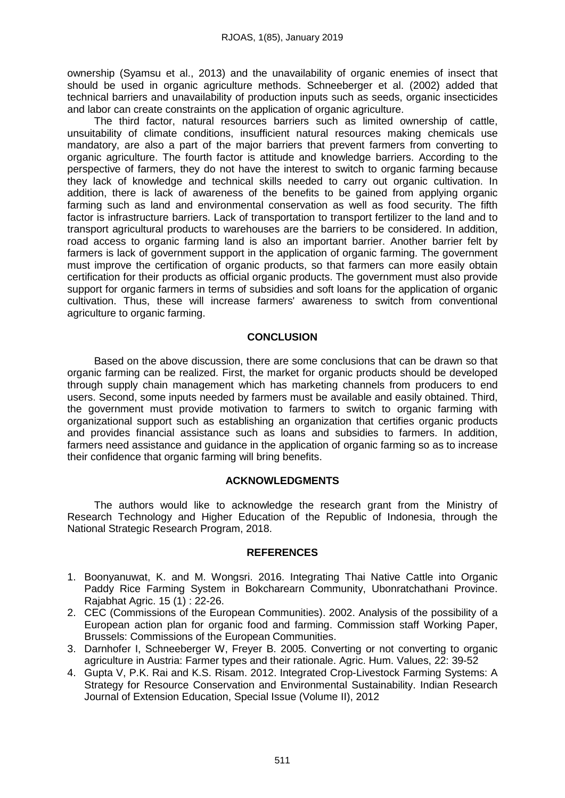ownership (Syamsu et al., 2013) and the unavailability of organic enemies of insect that should be used in organic agriculture methods. Schneeberger et al. (2002) added that technical barriers and unavailability of production inputs such as seeds, organic insecticides and labor can create constraints on the application of organic agriculture.

The third factor, natural resources barriers such as limited ownership of cattle, unsuitability of climate conditions, insufficient natural resources making chemicals use mandatory, are also a part of the major barriers that prevent farmers from converting to organic agriculture. The fourth factor is attitude and knowledge barriers. According to the perspective of farmers, they do not have the interest to switch to organic farming because they lack of knowledge and technical skills needed to carry out organic cultivation. In addition, there is lack of awareness of the benefits to be gained from applying organic farming such as land and environmental conservation as well as food security. The fifth factor is infrastructure barriers. Lack of transportation to transport fertilizer to the land and to transport agricultural products to warehouses are the barriers to be considered. In addition, road access to organic farming land is also an important barrier. Another barrier felt by farmers is lack of government support in the application of organic farming. The government must improve the certification of organic products, so that farmers can more easily obtain certification for their products as official organic products. The government must also provide support for organic farmers in terms of subsidies and soft loans for the application of organic cultivation. Thus, these will increase farmers' awareness to switch from conventional agriculture to organic farming.

# **CONCLUSION**

Based on the above discussion, there are some conclusions that can be drawn so that organic farming can be realized. First, the market for organic products should be developed through supply chain management which has marketing channels from producers to end users. Second, some inputs needed by farmers must be available and easily obtained. Third, the government must provide motivation to farmers to switch to organic farming with organizational support such as establishing an organization that certifies organic products and provides financial assistance such as loans and subsidies to farmers. In addition, farmers need assistance and guidance in the application of organic farming so as to increase their confidence that organic farming will bring benefits.

# **ACKNOWLEDGMENTS**

The authors would like to acknowledge the research grant from the Ministry of Research Technology and Higher Education of the Republic of Indonesia, through the National Strategic Research Program, 2018.

#### **REFERENCES**

- 1. Boonyanuwat, K. and M. Wongsri. 2016. Integrating Thai Native Cattle into Organic Paddy Rice Farming System in Bokcharearn Community, Ubonratchathani Province. Rajabhat Agric. 15 (1) : 22-26.
- 2. CEC (Commissions of the European Communities). 2002. Analysis of the possibility of a European action plan for organic food and farming. Commission staff Working Paper, Brussels: Commissions of the European Communities.
- 3. Darnhofer I, Schneeberger W, Freyer B. 2005. Converting or not converting to organic agriculture in Austria: Farmer types and their rationale. Agric. Hum. Values, 22: 39-52
- 4. Gupta V, P.K. Rai and K.S. Risam. 2012. Integrated Crop-Livestock Farming Systems: A Strategy for Resource Conservation and Environmental Sustainability. Indian Research Journal of Extension Education, Special Issue (Volume II), 2012